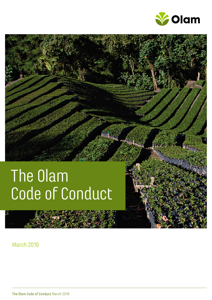

# The Olam Code of Conduct

March 2019

U

The Olam Code of Conduct March 2019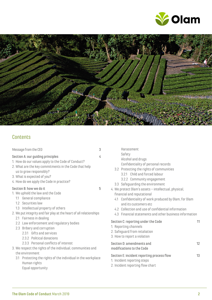



### Contents

| Message from the CEO                                                                                                                                                                                                                                                                                                                                                                            | 3 | Harassment                                                                                                                                                                                                                                                                                                                                                                                                                     |    |
|-------------------------------------------------------------------------------------------------------------------------------------------------------------------------------------------------------------------------------------------------------------------------------------------------------------------------------------------------------------------------------------------------|---|--------------------------------------------------------------------------------------------------------------------------------------------------------------------------------------------------------------------------------------------------------------------------------------------------------------------------------------------------------------------------------------------------------------------------------|----|
| Section A: our guiding principles<br>1. How do our values apply to the Code of Conduct?<br>2. What are the key commitments in the Code that help<br>us to grow responsibly?<br>3. What is expected of you?<br>4. How do we apply the Code in practice?                                                                                                                                          | 4 | Safety<br>Alcohol and drugs<br>Confidentiality of personal records<br>3.2 Protecting the rights of communities<br>3.2.1 Child and forced labour<br>3.2.2 Community engagement<br>3.3 Safeguarding the environment                                                                                                                                                                                                              |    |
| Section B: how we do it<br>1. We uphold the law and the Code<br>General compliance<br>1.1<br>1.2 Securities law<br>Intellectual property of others<br>1.3<br>2. We put integrity and fair play at the heart of all relationships<br>2.1 Fairness in dealing<br>2.2 Law enforcement and regulatory bodies<br>2.3 Bribery and corruption<br>2.3.1 Gifts and services<br>2.3.2 Political donations | 5 | 4. We protect Olam's assets - intellectual, physical,<br>financial and reputational<br>4.1 Confidentiality of work produced by Olam, for Olam<br>and its customers etc<br>4.2 Collection and use of confidential information<br>4.3 Financial statements and other business information<br>Section C: reporting under the Code<br>11<br>1. Reporting channels<br>2. Safeguard from retaliation<br>3. How to report a violation |    |
| 2.3.3 Personal conflicts of interest<br>3. We respect the rights of the individual, communities and                                                                                                                                                                                                                                                                                             |   | Section D: amendments and<br>modifications to the Code                                                                                                                                                                                                                                                                                                                                                                         | 12 |
| the environment<br>3.1 Protecting the rights of the individual in the workplace<br>Human rights<br>Equal opportunity                                                                                                                                                                                                                                                                            |   | Section E: incident reporting process flow<br>1. Incident reporting steps<br>2. Incident reporting flow chart                                                                                                                                                                                                                                                                                                                  | 13 |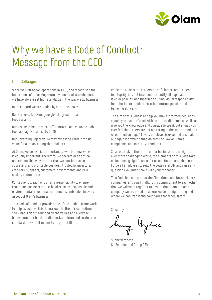

## Why we have a Code of Conduct: Message from the CEO

#### Dear Colleague

Since we first began operations in 1989, and recognised the importance of unlocking mutual value for all stakeholders, we have always set high standards in the way we do business.

In this regard we are guided by our three goals:

Our Purpose: To re-imagine global agriculture and food systems.

Our Vision: To be the most differentiated and valuable global food and agri-business by 2040.

Our Governing Objective: To maximise long-term intrinsic value for our continuing shareholders.

At Olam, we believe it is important to win, but how we win is equally important. Therefore, we operate in an ethical and responsible way in order that we continue to be a successful and profitable business, trusted by investors, creditors, suppliers, customers, governments and civil society communities.

Consequently, each of us has a responsibility to ensure that doing business in an ethical, socially responsible and environmentally sustainable manner is embedded in every aspect of Olam's business.

This Code of Conduct provides one of the guiding frameworks to help us achieve this. It sets out the Group's commitment to "do what is right", founded on the values and everyday behaviours that build our distinctive culture and setting the standard for what it means to be part of Olam.

While the Code is the cornerstone of Olam's commitment to integrity, it is not intended to identify all applicable laws or policies, nor supersede our individual responsibility for adhering to regulations, other internal policies and behaving ethically.

The aim of this Code is to help you make informed decisions should you ever be faced with an ethical dilemma, as well as give you the knowledge and courage to speak out should you ever feel that others are not operating to the same standards. As outlined on page 11 every employee is expected to speak out against anything that violates the Law or Olam's compliance and integrity standards.

So as we look to the future of our business, and navigate an ever more challenging world, the elements of this Code take on increasing significance, for us and for our stakeholders. I urge all employees to read the Code carefully and raise any questions you might have with your manager.

This Code helps to protect the Olam Group and its subsidiary companies, and you. Finally, it is a commitment to each other that we will work together to ensure that Olam remains a company we are proud of, where we do the right thing and where we can transcend boundaries together, safely.

Sincerely

Sanny Neyhese

Sunny Verghese Co-Founder and Group CEO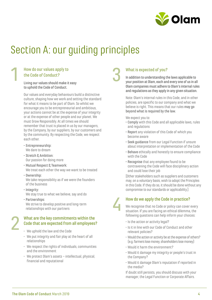

## Section A: our guiding principles

### How do our values apply to the Code of Conduct?

1

2

Living our values should make it easy to uphold the Code of Conduct.

Our values and everyday behaviours build a distinctive culture, shaping how we work and setting the standard for what it means to be part of Olam. So whilst we encourage you to be entrepreneurial and ambitious, your actions cannot be at the expense of your integrity or at the expense of other people and our planet. We must Grow Responsibly. At all times we should remember that trust is placed in us by our managers, by the Company, by our suppliers, by our customers and by the community. By respecting the Code, we respect each other.

- Entrepreneurship: We dare to dream
- Stretch & Ambition: Our passion for doing more
- Mutual Respect & Teamwork: We treat each other the way we want to be treated
- Ownership: We take responsibility as if we were the founders of the business
- Integrity: We stay true to what we believe, say and do
- Partnerships: We strive to develop positive and long-term relationships with our partners

#### What are the key commitments within the Code that are expected from all employees?

- We uphold the law and the Code
- We put integrity and fair play at the heart of all relationships
- We respect the rights of individuals, communities and the environment
- We protect Olam's assets intellectual, physical, financial and reputational

### What is expected of you?

3

4

In addition to understanding the laws applicable to your position at Olam, each and every one of us in all Olam companies must adhere to Olam's internal rules and regulations as they apply in any given situation.

Note: Olam's internal rules in this Code, and in other policies, are specific to our company and what we believe is right. This means that our rules may go beyond what is required by the law.

We expect you to:

- Comply with this Code and all applicable laws, rules and regulations
- Report any violation of this Code of which you become aware
- Seek guidance from our Legal Function if unsure about interpretation or implementation of the Code
- Behave ethically and honestly to ensure compliance with the Code
- Recognise that any employee found to be contravening the Code will face disciplinary action and could lose their job

[Other stakeholders such as suppliers and customers may, on a voluntary basis, wish to adopt the Principles in this Code. If they do so, it should be done without any compromise to our standards or applicability.]

### How do we apply the Code in practice?

We recognise that no Code or policy can cover every situation. If you are facing an ethical dilemma, the following questions can help inform your choices:

- Is the action or activity legal?
- Is it in line with our Code of Conduct and other relevant policies?
- Would the action or activity be at the expense of others? (e.g. farmers lose money, shareholders lose money)
- Would it harm the environment?
- Would it damage my integrity or people's trust in the Company?
- Would it damage Olam's reputation if reported in the media?

If doubt still persists, you should discuss with your manager, the Legal Function or Corporate Affairs.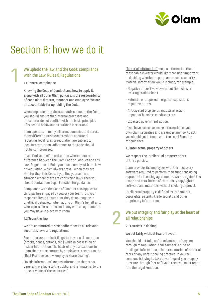

## Section B: how we do it

### We uphold the law and the Code: compliance with the Law, Rules & Regulations

#### 1.1 General compliance

1

Knowing the Code of Conduct and how to apply it, along with all other Olam policies, is the responsibility of each Olam director, manager and employee. We are all accountable for upholding the Code.

When implementing the standards set out in the Code, you should ensure that internal processes and procedures do not conflict with the basic principles of expected behaviour as outlined in section C.

Olam operates in many different countries and across many different jurisdictions, where additional reporting, local rules or regulation are subject to local interpretation. Adherence to the Code should not be compromised.

If you find yourself in a situation where there is a difference between the Olam Code of Conduct and any Law, Regulation or Rule, you must comply with the Law or Regulation, which always prevail when they are stricter than this Code. If you find yourself in a situation where there are conflicting laws, then you should contact our Legal Function for guidance.

Compliance with the Code of Conduct also applies to third parties engaged by you or your team. It is your responsibility to ensure that they do not engage in unethical behaviour when acting on Olam's behalf and, where possible, set this out in any written agreements you may have in place with them.

#### 12 Securities law

#### We are committed to strict adherence to all relevant securities laws and regulations.

Securities laws make it illegal to buy or sell securities (stocks, bonds, options, etc.) while in possession of Insider Information. The basis of any transactions in Olam shares or securities by employees is set out in the "Best Practice Code – Employee Share Dealing".

"Inside information" means information that is not generally available to the public, and is "material to the price or value of the securities".

"Material information" means information that a reasonable investor would likely consider important in deciding whether to purchase or sell a security. Material information would include, for example:

- Negative or positive views about financials or existing product lines.
- Potential or proposed mergers, acquisitions or joint ventures.
- Anticipated crop yields, industrial action, impact of business conditions etc.
- Expected government action.

If you have access to Inside Information or you own Olam securities and are uncertain how to act, you should get in touch with the Legal Function for guidance.

#### 1.3 Intellectual property of others

#### We respect the intellectual property rights of third parties.

Olam provides its employees with the necessary software required to perform their functions using appropriate licensing agreements. We are against the usage and distribution of third-party copyrighted software and materials without seeking approval.

Intellectual property is defined as trademarks, copyrights, patents, trade secrets and other proprietary information.

### We put integrity and fair play at the heart of all relationships

2.1 Fairness in dealing

2

#### We act fairly without fear or favour.

You should not take unfair advantage of anyone through manipulation, concealment, abuse of privileged information, misrepresentation of material facts or any unfair-dealing practice. If you feel someone is trying to take advantage of you or apply pressure through fear or favour, then you must report it to the Legal Function.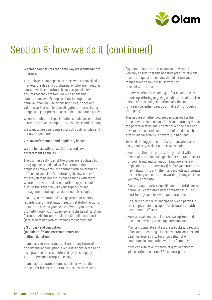

#### We treat competitors the same way we would want to be treated.

All employees, but especially those who are involved in marketing, sales and purchasing, or who are in regular contact with competitors, have a responsibility to ensure that they are familiar with applicable competition laws. Examples of anti-competitive behaviour can include discussing sales, prices and volumes as this can lead to allegations of price fixing; or applying joint pressure on suppliers to reduce prices.

When in doubt, the Legal Function should be contacted in order to provide competition law advice and training.

We want to beat our competitors through fair play and our own capabilities.

#### 2.2 Law enforcement and regulatory bodies

#### We are honest with all authorities and law enforcement agencies.

The business activities of the Group are regulated by many agencies and bodies. From time to time employees may come into contact with government officials responsible for enforcing the law and we expect you to be honest in your dealings with them. Where the law is unclear or conflicting, you should discuss the situation with your supervisor and management and legal advice should be sought.

Should you be contacted by a government agency regarding any investigation, search, statutory action or on matters beyond your scope of work, you are to promptly notify your supervisor and the Legal Function, Corporate Affairs; and/or Market Compliance function (if related to derivatives trading) for instructions.

#### 2.3 Bribery and corruption (includes gifts and entertainments, and political donations)

Olam has a zero-tolerance culture for any forms of bribery and/or corruption, even if it is considered to be local practice. This is reinforced by the company Anti-Bribery and Corruption Policy.

Olam has to operate in some countries where the request for bribes in order to do business may occur. Payment of such bribes, no matter how small, will only ensure that this negative practice prevails. If such a request arises, you should inform your manager who should discuss with the relevant authorities.

Bribery is defined as: gaining unfair advantage by promising, offering or giving a public official (or other person of relevance) something of value in return for a service, either directly or indirectly through a third party.

This applies whether you are being asked for the bribe or whether such an offer is instigated by you to the potential recipient. An offer of a bribe does not have to be accepted. Just the act of making such an offer is illegal activity in several jurisdictions.

To avoid finding yourself in a situation where a third party could try to elicit a bribe you should:

- Ensure all the third parties that you deal with are aware of and acknowledge Olam's zero tolerance to bribery, fraud and corruption (and are aware of applicable anti-bribery laws) before you enter into a new relationship with them and include appropriate anti-bribery and corruption wording in any contract you may enter into.
- Carry out appropriate due diligence on third parties before you enter into a deal or relationship – be alert for any suppliers with poor practices.
- Be alert to close relationships between parties in the supply chain (e.g. agent/distributor) or with government officials.
- Seek a breakdown of all fees/costs upfront and question anything which appears unusual.
- Maintain complete and accurate books and records of account recording all business transactions and dealings entered into for or on behalf of or conducted in connection with the Company.

Bribes can also take the form of gifts or services – please refer to section 2.3.1 on next page.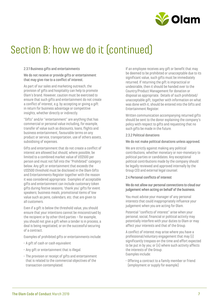

#### 2.3.1 Business gifts and entertainments

We do not receive or provide gifts or entertainment that may give rise to a conflict of interest.

As part of our sales and marketing outreach, the provision of gifts and hospitality can help to promote Olam's brand. However, caution must be exercised to ensure that such gifts and entertainment do not create a conflict of interest, e.g. by accepting or giving a gift in return for business advantage or competitive insights, whether directly or indirectly.

"Gifts" and/or "entertainment" are anything that has commercial or personal value including, for example, transfer of value such as discounts, loans, flights and business entertainment, favourable terms on any product or service, transportation, use of others assets, subsidising of expenses.

Gifts and entertainment that do not create a conflict of interest are allowed but should, where possible, be limited to a combined market value of US\$500 per person and must not fall into the "Prohibited" category below. Any gift or entertainment that exceeds the US\$500 threshold must be disclosed in the Olam Gifts and Entertainments Register together with the reason it was considered appropriate. Examples of acceptable gifts and entertainment can include customary token gifts during festive seasons, 'thank you' gifts for event speakers; business meals, promotional items of low value such as pens, calendars, etc. that are given to all customers.

Even if a gift is below the threshold value, you should ensure that your intentions cannot be misconstrued by the recipient or by other third parties – for example, you should not give a gift when a tender is in process, a deal is being negotiated, or on the successful securing of a contract.

Examples of prohibited gifts or entertainments include:

- A gift of cash or cash equivalent
- Any gift or entertainment that is illegal.
- The provision or receipt of gifts and entertainment that is related to the commercial objectives of the transaction contemplated.

If an employee receives any gift or benefit that may be deemed to be prohibited or unacceptable due to its significant value, such gifts must be immediately returned. If returning the gift is impractical or undesirable, then it should be handed over to the Country/Product Management for donation or disposal as appropriate. Details of such prohibited/ unacceptable gift, together with information on what was done with it, should be entered into the Gifts and Entertainment Register.

Written communication accompanying returned gifts should be sent to the donor explaining the company's policy with respect to gifts and requesting that no such gifts be made in the future.

#### 2.3.2 Political donations

#### We do not make political donations unless approved.

We are strictly against making any political contributions, whether monetary or non-monetary to political parties or candidates. Any exceptional political contributions made by the company should be legally reviewed and approved internally by the Group CEO and external legal counsel.

#### 2.4 Personal conflicts of interest

#### We do not allow our personal connections to cloud our judgement when acting on behalf of the business.

You must advise your manager of any personal interests that could inappropriately influence your judgement when you are acting for Olam.

Potential "conflicts of interest" arise when your personal, social, financial or political activity may potentially interfere with your duties to Olam or may affect your interests and that of the Group.

A conflict of interest may arise where you have a professional/voluntary engagement that may (i) significantly trespass on the time and effort expected to be put in by you; or (ii) where such activity affects the interests of the Group. Examples include:

• Offering a contract to a family member or friend (employment or supply for example)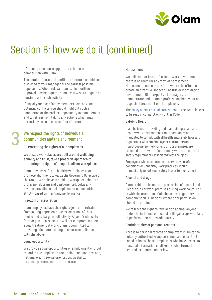

• Pursuing a business opportunity that is in competition with Olam

The details of potential conflicts of interest should be disclosed to your manager at the earliest possible opportunity. Where relevant, an explicit written approval may be required should you wish to engage or continue with such activity.

If any of your close family members have any such potential conflicts, you should highlight such a connection at the earliest opportunity to management and to refrain from taking any actions which may potentially be seen as a conflict of interest.

### We respect the rights of individuals, communities and the environment

3.1 Protecting the rights of our employees

We ensure workplaces are built around wellbeing, equality and trust, take a proactive approach to protecting the rights of people in all our workplaces.

Olam provides safe and healthy workplaces that promote alignment towards the Governing Objective of the Group. We believe in building workplaces that are professional, team and trust oriented, culturally diverse, providing equal employment opportunities strictly based on merit and performance.

#### Freedom of association

3

Olam employees have the right to join, or to refrain from joining, representative associations of their choice and to bargain collectively. Anyone's choice to form or join an association will not compromise their equal treatment at work. Olam is committed to providing adequate training to ensure compliance with the above.

#### Equal opportunity

We provide equal opportunities of employment without regard to the employee's race, colour, religion, sex, age, national origin, sexual orientation, disability, citizenship status, marital status, etc.

#### Harassment

We believe that in a professional work environment there is no room for any form of harassment. Harassment can be in any form where the effect is to create an offensive, indecent, hostile or intimidating environment. Olam expects all managers to demonstrate and promote professional behaviour and respectful treatment of all employees.

The policy against sexual harassment at the workplace is to be read in conjunction with this Code.

#### Safety & Health

Olam believes in providing and maintaining a safe and healthy work environment. Group companies are mandated to comply with all health and safety laws and regulations. All Olam employees, contractors and non-Group personnel working on our premises, are expected to be aware of and comply with all health and safety requirements associated with their jobs.

Employees who encounter or observe any unsafe conditions or unhealthy work practices should immediately report such safety lapses to their superior.

#### Alcohol and drugs

Olam prohibits the use and possession of alcohol and illegal drugs at work premises during work hours. This is with the exception of alcoholic beverages served at company social functions, where prior permission should be obtained.

We reserve the right to take action against anyone under the influence of alcohol or illegal drugs who fails to perform their duties adequately.

#### Confidentiality of personal records

Access to personal records of employees is limited to suitably authorised Group personnel and on a strict "need to know" basis. Employees who have access to personal information shall keep such information secured as required under law.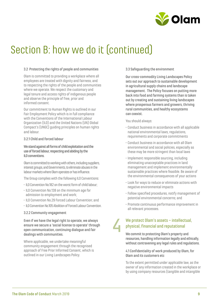

#### 3.2 Protecting the rights of people and communities

Olam is committed to providing a workplace where all employees are treated with dignity and fairness, and to respecting the rights of the people and communities where we operate. We respect the customary and legal tenure and access rights of indigenous people and observe the principle of free, prior and informed consent.

Our commitment to Human Rights is outlined in our Fair Employment Policy which is in full compliance with the Conventions of the International Labour Organization (ILO) and the United Nations (UN) Global Compact's (UNGC) guiding principles on human rights and labour.

#### 3.2.1 Child and forced labour

#### We stand against all forms of child exploitation and the use of forced labour, respecting and abiding by the ILO conventions.

Olam is committed to working with others, including suppliers, interest groups, and Governments, to eliminate abuses in the labour markets where Olam operates or has influence.

The Group complies with the following ILO Conventions:

- ILO Convention No.182 on the worst form of child labour;
- ILO Convention No.138 on the minimum age for admission to employment and work;
- ILO Convention No.29 Forced Labour Convention; and
- ILO Convention No.105 Abolition of Forced Labour Convention.

#### 3.2.2 Community engagement

Even if we have the legal right to operate, we always ensure we secure a 'social license to operate' through open communication, continuing dialogue and fair dealings with communities.

Where applicable, we undertake meaningful community engagement through the recognised approach of Free Prior Informed Consent, which is outlined in our Living Landscapes Policy.

#### 3.3 Safeguarding the environment

Our cross-commodity Living Landscapes Policy sets out our approach to sustainable development in agricultural supply chains and landscape management. The Policy focuses on putting more back into food and farming systems than is taken out by creating and sustaining living landscapes where prosperous farmers and growers, thriving rural communities, and healthy ecosystems can coexist.

You should always:

- Conduct business in accordance with all applicable national environmental laws, regulations, requirements and corporate commitments
- Conduct business in accordance with all Olam environmental and social policies, especially as these may be more stringent than local laws
- Implement responsible sourcing, including eliminating unacceptable practices in land management and implement environmentally sustainable practices where feasible. Be aware of the environmental consequences of your actions
- Look for ways to reduce or eliminate actions with negative environmental impacts
- Follow specified procedures, notify management of potential environmental concerns; and
- Promote continuous performance improvement in all relevant processes.

### We protect Olam's assets – intellectual, physical, financial and reputational

4

We commit to protecting Olam's property and resources, handling information legally and ethically, without contravening any legal rules and regulations.

#### 4.1 Confidentiality of work produced by Olam, for Olam and its customers etc

To the extent permitted under applicable law, as the owner of any information created in the workplace or by using company resources (tangible and intangible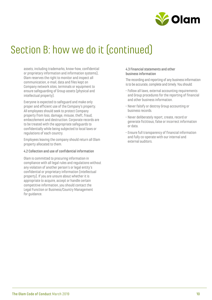

assets, including trademarks, know-how, confidential or proprietary information and information systems), Olam reserves the right to monitor and inspect all communication, e-mail, data and files kept on Company network sites, terminals or equipment to ensure safeguarding of Group assets (physical and intellectual property).

Everyone is expected to safeguard and make only proper and efficient use of the Company's property. All employees should seek to protect Company property from loss, damage, misuse, theft, fraud, embezzlement and destruction. Corporate records are to be treated with the appropriate safeguards to confidentially while being subjected to local laws or regulations of each country.

Employees leaving the company should return all Olam property allocated to them.

#### 4.2 Collection and use of confidential information

Olam is committed to procuring information in compliance with all legal rules and regulations without any violation of another person's or legal entity's confidential or proprietary information (intellectual property). If you are unsure about whether it is appropriate to acquire, accept or handle certain competitive information, you should contact the Legal Function or Business/Country Management for guidance.

#### 4.3 Financial statements and other business information

The recording and reporting of any business information is to be accurate, complete and timely. You should:

- Follow all laws, external accounting requirements and Group procedures for the reporting of financial and other business information.
- Never falsify or destroy Group accounting or business records.
- Never deliberately report, create, record or generate fictitious, false or incorrect information or data.
- Ensure full transparency of financial information and fully co-operate with our internal and external auditors.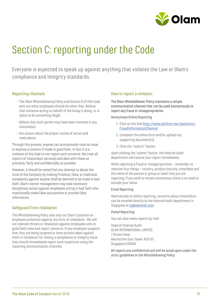

## Section C: reporting under the Code

Everyone is expected to speak up against anything that violates the Law or Olam's compliance and integrity standards.

#### Reporting channels

- The Olam Whistleblowing Policy and Section D of this Code sets out what employees should do when they: Believe that someone acting on behalf of the Group is doing, or is about to do something illegal.
- Believe that such person may have been involved in any misconduct.
- Are unsure about the proper course of action and need advice.

Through this process, anyone can anonymously raise an issue or express a concern if made in good faith, in fact it is a violation of the Code to not report such concerns. We treat all reports of misconduct seriously and deal with these as promptly, fairly and confidentially as possible.

However, it should be noted that any attempt to abuse the trust of the Company by making frivolous, false, or malicious complaints against anyone shall be deemed to be made in bad faith. Olam's senior management may take necessary disciplinary action against employees acting in bad faith who intentionally make false accusations or provide false information.

#### Safeguard from retaliation

The Whistleblowing Policy also sets out Olam's position on employee protection against any form of retaliation. We will not tolerate threats or retaliation against employees who in good faith raise and report concerns. If any employee suspects that they are being targeted or have actions taken against them in retaliation for raising a compliance or integrity issue, they should immediately report such suspicions using the reporting communication channels.

#### How to report a violation

The Olam Whistleblower Policy maintains a simple communication channel that can be used anonymously to report any fraud or misappropriation.

Anonymous Online Reporting

- 1. Click on the link http://www.jotform.me/iaolamint/ FraudInformationChannel
- 2. Complete the online form and/or upload any supporting document(s).
- 3. Click the "submit" button.

Upon clicking the 'submit' button, the Internal Audit department will receive your report immediately.

While reporting a fraud or misappropriation - remember to mention four things – country, product/activity, time/date and the name of the person or group or team that you are reporting. If you wish to remain anonymous there is no need to include your name.

#### Email Reporting

Alternatively to online reporting, concerns about misconduct can be emailed directly to the Internal Audit department in Singapore at ia@olamnet.com .

#### Postal Reporting

You can also make reports by mail

Head of Internal Audit OLAM INTERNATIONAL LIMITED. 7 Straits View, Marina One East Tower #20-01, Singapore 018936

All reports are confidential and will be acted upon under the strict guidelines in the Whistleblowing Policy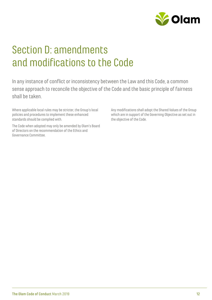

## Section D: amendments and modifications to the Code

In any instance of conflict or inconsistency between the Law and this Code, a common sense approach to reconcile the objective of the Code and the basic principle of fairness shall be taken.

Where applicable local rules may be stricter, the Group's local policies and procedures to implement these enhanced standards should be complied with.

The Code when adopted may only be amended by Olam's Board of Directors on the recommendation of the Ethics and Governance Committee.

Any modifications shall adopt the Shared Values of the Group which are in support of the Governing Objective as set out in the objective of the Code.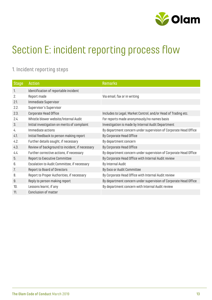

## Section E: incident reporting process flow

### 1. Incident reporting steps

| <b>Stage</b> | <b>Action</b>                                  | <b>Remarks</b>                                                   |
|--------------|------------------------------------------------|------------------------------------------------------------------|
| 1.           | Identification of reportable incident          |                                                                  |
| 2.           | Report made                                    | Via email, fax or in writing                                     |
| 2.1.         | Immediate Supervisor                           |                                                                  |
| 2.2.         | Supervisor's Supervisor                        |                                                                  |
| 2.3.         | Corporate Head Office                          | Includes to Legal, Market Control, and/or Head of Trading etc.   |
| 2.4.         | Whistle blower website/Internal Audit          | For reports made anonymously/no names basis                      |
| 3.           | Initial investigation on merits of complaint   | Investigation is made by Internal Audit Department               |
| 4.           | Immediate actions                              | By department concern under supervision of Corporate Head Office |
| 4.1.         | Initial feedback to person making report       | By Corporate Head Office                                         |
| 4.2.         | Further details sought, if necessary           | By department concern                                            |
| 4.3.         | Review of background to incident, if necessary | By Corporate Head Office                                         |
| 4.4.         | Further corrective actions, if necessary       | By department concern under supervision of Corporate Head Office |
| 5.           | Report to Executive Committee                  | By Corporate Head Office with Internal Audit review              |
| 6.           | Escalation to Audit Committee, if necessary    | By Internal Audit                                                |
| 7.           | Report to Board of Directors                   | By Exco or Audit Committee                                       |
| 8.           | Report to Proper Authorities, if necessary     | By Corporate Head Office with Internal Audit review              |
| 9.           | Reply to person making report                  | By department concern under supervision of Corporate Head Office |
| 10.          | Lessons learnt, if any                         | By department concern with Internal Audit review                 |
| 11.          | Conclusion of matter                           |                                                                  |